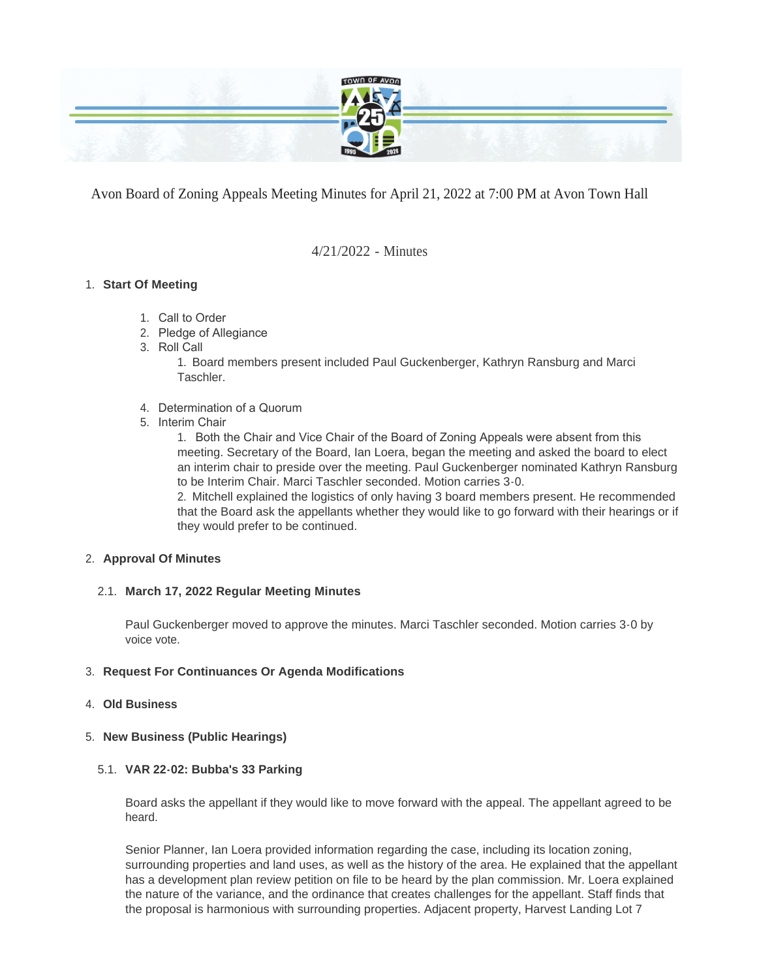

Avon Board of Zoning Appeals Meeting Minutes for April 21, 2022 at 7:00 PM at Avon Town Hall

4/21/2022 - Minutes

# **Start Of Meeting** 1.

- 1. Call to Order
- 2. Pledge of Allegiance
- 3. Roll Call

1. Board members present included Paul Guckenberger, Kathryn Ransburg and Marci **Taschler** 

- 4. Determination of a Quorum
- 5. Interim Chair

1. Both the Chair and Vice Chair of the Board of Zoning Appeals were absent from this meeting. Secretary of the Board, Ian Loera, began the meeting and asked the board to elect an interim chair to preside over the meeting. Paul Guckenberger nominated Kathryn Ransburg to be Interim Chair. Marci Taschler seconded. Motion carries 3-0.

2. Mitchell explained the logistics of only having 3 board members present. He recommended that the Board ask the appellants whether they would like to go forward with their hearings or if they would prefer to be continued.

# **Approval Of Minutes** 2.

## **March 17, 2022 Regular Meeting Minutes** 2.1.

Paul Guckenberger moved to approve the minutes. Marci Taschler seconded. Motion carries 3-0 by voice vote.

# **Request For Continuances Or Agenda Modifications** 3.

# **Old Business** 4.

# **New Business (Public Hearings)** 5.

# **VAR 22-02: Bubba's 33 Parking** 5.1.

Board asks the appellant if they would like to move forward with the appeal. The appellant agreed to be heard.

Senior Planner, Ian Loera provided information regarding the case, including its location zoning, surrounding properties and land uses, as well as the history of the area. He explained that the appellant has a development plan review petition on file to be heard by the plan commission. Mr. Loera explained the nature of the variance, and the ordinance that creates challenges for the appellant. Staff finds that the proposal is harmonious with surrounding properties. Adjacent property, Harvest Landing Lot 7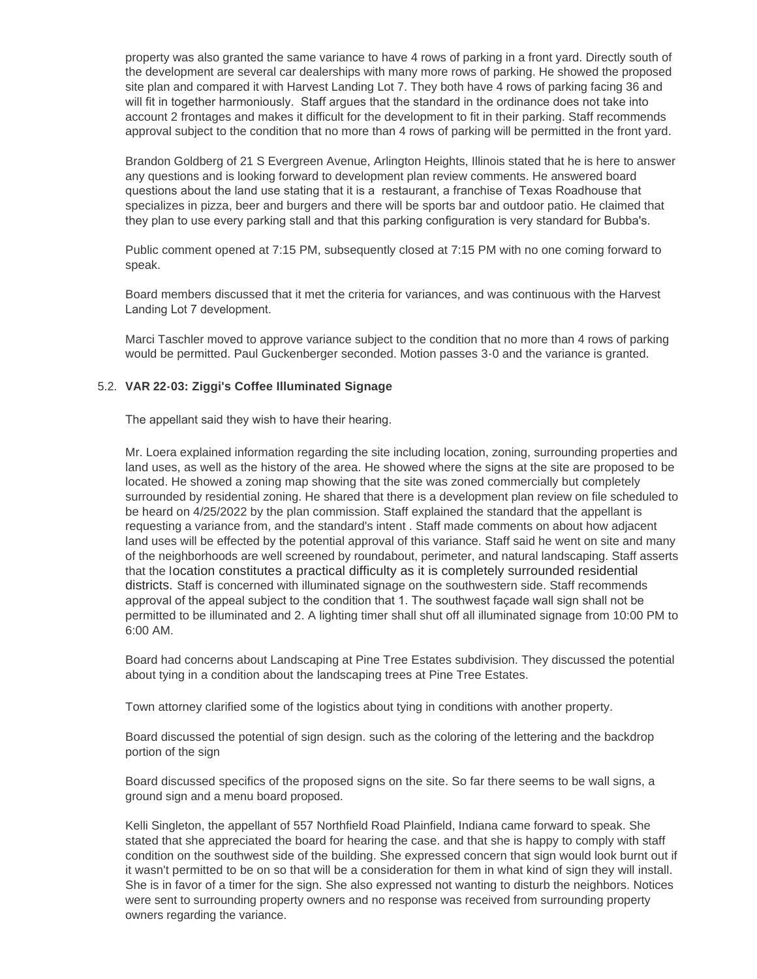property was also granted the same variance to have 4 rows of parking in a front yard. Directly south of the development are several car dealerships with many more rows of parking. He showed the proposed site plan and compared it with Harvest Landing Lot 7. They both have 4 rows of parking facing 36 and will fit in together harmoniously. Staff argues that the standard in the ordinance does not take into account 2 frontages and makes it difficult for the development to fit in their parking. Staff recommends approval subject to the condition that no more than 4 rows of parking will be permitted in the front yard.

Brandon Goldberg of 21 S Evergreen Avenue, Arlington Heights, Illinois stated that he is here to answer any questions and is looking forward to development plan review comments. He answered board questions about the land use stating that it is a restaurant, a franchise of Texas Roadhouse that specializes in pizza, beer and burgers and there will be sports bar and outdoor patio. He claimed that they plan to use every parking stall and that this parking configuration is very standard for Bubba's.

Public comment opened at 7:15 PM, subsequently closed at 7:15 PM with no one coming forward to speak.

Board members discussed that it met the criteria for variances, and was continuous with the Harvest Landing Lot 7 development.

Marci Taschler moved to approve variance subject to the condition that no more than 4 rows of parking would be permitted. Paul Guckenberger seconded. Motion passes 3-0 and the variance is granted.

## **VAR 22-03: Ziggi's Coffee Illuminated Signage** 5.2.

The appellant said they wish to have their hearing.

Mr. Loera explained information regarding the site including location, zoning, surrounding properties and land uses, as well as the history of the area. He showed where the signs at the site are proposed to be located. He showed a zoning map showing that the site was zoned commercially but completely surrounded by residential zoning. He shared that there is a development plan review on file scheduled to be heard on 4/25/2022 by the plan commission. Staff explained the standard that the appellant is requesting a variance from, and the standard's intent . Staff made comments on about how adjacent land uses will be effected by the potential approval of this variance. Staff said he went on site and many of the neighborhoods are well screened by roundabout, perimeter, and natural landscaping. Staff asserts that the location constitutes a practical difficulty as it is completely surrounded residential districts. Staff is concerned with illuminated signage on the southwestern side. Staff recommends approval of the appeal subject to the condition that 1. The southwest façade wall sign shall not be permitted to be illuminated and 2. A lighting timer shall shut off all illuminated signage from 10:00 PM to 6:00 AM.

Board had concerns about Landscaping at Pine Tree Estates subdivision. They discussed the potential about tying in a condition about the landscaping trees at Pine Tree Estates.

Town attorney clarified some of the logistics about tying in conditions with another property.

Board discussed the potential of sign design. such as the coloring of the lettering and the backdrop portion of the sign

Board discussed specifics of the proposed signs on the site. So far there seems to be wall signs, a ground sign and a menu board proposed.

Kelli Singleton, the appellant of 557 Northfield Road Plainfield, Indiana came forward to speak. She stated that she appreciated the board for hearing the case. and that she is happy to comply with staff condition on the southwest side of the building. She expressed concern that sign would look burnt out if it wasn't permitted to be on so that will be a consideration for them in what kind of sign they will install. She is in favor of a timer for the sign. She also expressed not wanting to disturb the neighbors. Notices were sent to surrounding property owners and no response was received from surrounding property owners regarding the variance.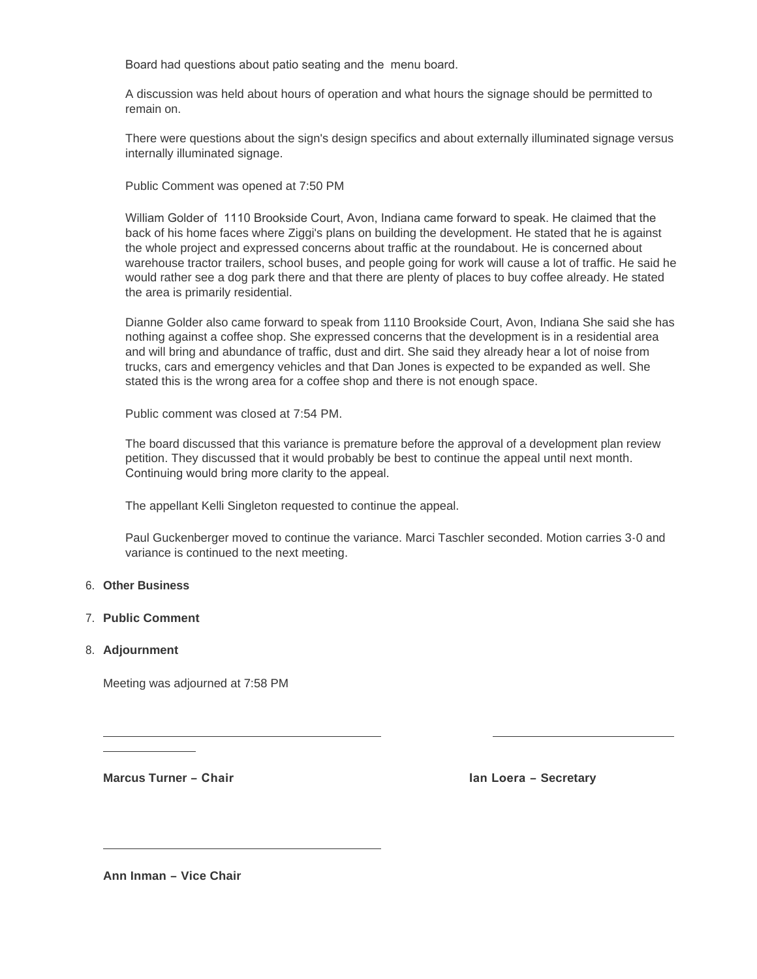Board had questions about patio seating and the menu board.

A discussion was held about hours of operation and what hours the signage should be permitted to remain on.

There were questions about the sign's design specifics and about externally illuminated signage versus internally illuminated signage.

Public Comment was opened at 7:50 PM

William Golder of 1110 Brookside Court, Avon, Indiana came forward to speak. He claimed that the back of his home faces where Ziggi's plans on building the development. He stated that he is against the whole project and expressed concerns about traffic at the roundabout. He is concerned about warehouse tractor trailers, school buses, and people going for work will cause a lot of traffic. He said he would rather see a dog park there and that there are plenty of places to buy coffee already. He stated the area is primarily residential.

Dianne Golder also came forward to speak from 1110 Brookside Court, Avon, Indiana She said she has nothing against a coffee shop. She expressed concerns that the development is in a residential area and will bring and abundance of traffic, dust and dirt. She said they already hear a lot of noise from trucks, cars and emergency vehicles and that Dan Jones is expected to be expanded as well. She stated this is the wrong area for a coffee shop and there is not enough space.

Public comment was closed at 7:54 PM.

The board discussed that this variance is premature before the approval of a development plan review petition. They discussed that it would probably be best to continue the appeal until next month. Continuing would bring more clarity to the appeal.

The appellant Kelli Singleton requested to continue the appeal.

Paul Guckenberger moved to continue the variance. Marci Taschler seconded. Motion carries 3-0 and variance is continued to the next meeting.

### **Other Business** 6.

#### **Public Comment** 7.

#### **Adjournment** 8.

Meeting was adjourned at 7:58 PM

**Marcus Turner – Chair Ian Loera – Secretary Ian Loera – Secretary** 

**Ann Inman – Vice Chair**